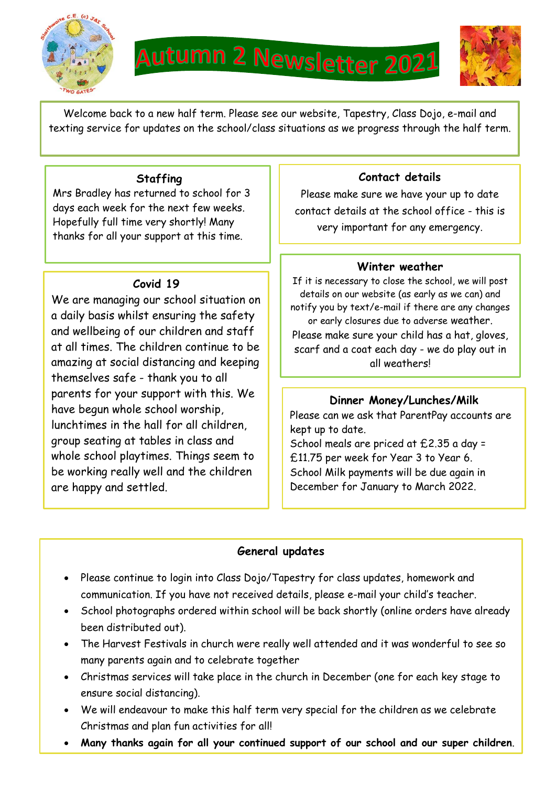

time.



Welcome back to a new half term. Please see our website, Tapestry, Class Dojo, e-mail and texting service for updates on the school/class situations as we progress through the half term.

### **Staffing**

Mrs Bradley has returned to school for 3 days each week for the next few weeks. Hopefully full time very shortly! Many thanks for all your support at this time.

# **Covid 19**

We are managing our school situation on a daily basis whilst ensuring the safety and wellbeing of our children and staff at all times. The children continue to be amazing at social distancing and keeping themselves safe - thank you to all parents for your support with this. We have begun whole school worship, lunchtimes in the hall for all children, group seating at tables in class and whole school playtimes. Things seem to be working really well and the children are happy and settled.

#### **Contact details**

Please make sure we have your up to date contact details at the school office - this is very important for any emergency.

#### **Winter weather**

If it is necessary to close the school, we will post details on our website (as early as we can) and notify you by text/e-mail if there are any changes or early closures due to adverse weather. Please make sure your child has a hat, gloves, scarf and a coat each day - we do play out in all weathers!

## **Dinner Money/Lunches/Milk**

Please can we ask that ParentPay accounts are kept up to date.

School meals are priced at £2.35 a day = £11.75 per week for Year 3 to Year 6. School Milk payments will be due again in December for January to March 2022.

# **General updates**

- Please continue to login into Class Dojo/Tapestry for class updates, homework and communication. If you have not received details, please e-mail your child's teacher.
- School photographs ordered within school will be back shortly (online orders have already been distributed out).
- The Harvest Festivals in church were really well attended and it was wonderful to see so many parents again and to celebrate together
- Christmas services will take place in the church in December (one for each key stage to ensure social distancing).
- We will endeavour to make this half term very special for the children as we celebrate Christmas and plan fun activities for all!
- **Many thanks again for all your continued support of our school and our super children**.